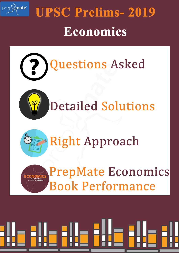

# **UPSC Prelims-2019** Economics







**PrepMate Economics Book Performance** 

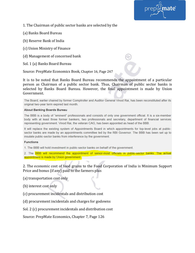

1. The Chairman of public sector banks are selected by the

- (a) Banks Board Bureau
- (b) Reserve Bank of India
- (c) Union Ministry of Finance
- (d) Management of concerned bank
- Sol. 1 (a) Banks Board Bureau

Source: PrepMate Economics Book, Chapter 16, Page 247

It is to be noted that Banks Board Bureau recommends the appointment of a particular person as Chairman of a public sector bank. Thus, Chairman of public sector banks is selected by Banks Board Bureau. However, the final appointment is made by Union Government.

The Board, earlier chaired by former Comptroller and Auditor General Vinod Rai, has been reconstituted after its original two-year term expired last month.

#### **About Banking Boards Bureau**

The BBB is a body of "eminent" professionals and consists of only one government official. It is a six-member body with at least three former bankers, two professionals and secretary, department of financial services representing government. Vinod Rai, the veteran CAG, has been appointed as head of the BBB.

It will replace the existing system of Appointments Board in which appointments for top-level jobs at publicsector banks are made by an appointments committee led by the RBI Governor. The BBB has been set up to insulate public-sector banks from interference by the government.

#### **Functions**

1. The BBB will hold investment in public-sector banks on behalf of the government.

2. The BBB will recommend the appointment of senior-most officials in public-sector banks. The actual appointment is made by Union government.

2. The economic cost of food grains to the Food Corporation of India is Minimum Support Price and bonus (if any) paid to the farmers plus

(a) transportation cost only

(b) interest cost only

(c) procurement incidentals and distribution cost

(d) procurement incidentals and charges for godowns

Sol. 2 (c) procurement incidentals and distribution cost

Source: PrepMate Economics, Chapter 7, Page 126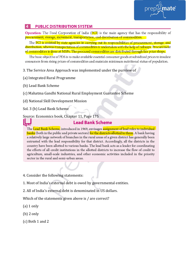

# **PUBLIC DISTRIBUTION SYSTEM**

**Operation:** The Food Corporation of India (FCI) is the main agency that has the responsibility of procurement, storage, movement, transportation, and distribution of commodities.

The FCI is assisted by state agencies in carrying out its responsibilities of procurement, storage, and distribution, whereas transportation of commodities is undertaken with the help of railways. Procurement of commodities is done at MSPs. The procured commodities are distributed through fair price shops.

The basic objective of PDS is to make available essential consumer goods at subsidized prices to insulate consumers from rising prices of commodities and maintain minimum nutritional status of population.

3. The Service Area Approach was implemented under the purview of

(a) Integrated Rural Programme

(b) Lead Bank Scheme

(c) Mahatma Gandhi National Rural Employment Guarantee Scheme

(d) National Skill Development Mission

Sol. 3 (b) Lead Bank Scheme

Source: Economics book, Chapter 11, Page 175

# **Lead Bank Scheme**

The Lead Bank Scheme, introduced in 1969, envisages assignment of lead roles to individual banks (both in the public and private sectors) for the districts allotted to them. A bank having a relatively large network of branches in the rural areas of a given district has generally been entrusted with the lead responsibility for that district. Accordingly, all the districts in the country have been allotted to various banks. The lead bank acts as a leader for coordinating the efforts of all credit institutions in the allotted districts to increase the flow of credit to agriculture, small-scale industries, and other economic activities included in the priority sector in the rural and semi-urban areas.

- 4. Consider the following statements:
- 1. Most of India's external debt is owed by governmental entities.
- 2. All of India's external debt is denominated in US dollars.

Which of the statements given above is / are correct?

- (a) 1 only
- (b) 2 only
- (c) Both 1 and 2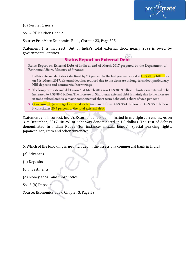

(d) Neither 1 nor 2

Sol. 4 (d) Neither 1 nor 2

Source: PrepMate Economics Book, Chapter 23, Page 325

Statement 1 is incorrect: Out of India's total external debt, nearly 20% is owed by governmental entities.

# **Status Report on External Debt**

Status Report on External Debt of India at end of March 2017 prepared by the Department of Economic Affairs, Ministry of Finance:

- 1. India's external debt stock declined by 2.7 percent in the last year and stood at US\$ 471.9 billion as on 31st March 2017. External debt has reduced due to the decrease in long-term debt particularly NRI deposits and commercial borrowings.
- 2. The long-term external debt as on 31st March 2017 was US\$ 383.9 billion. Short-term external debt increased to US\$ 88.0 billion. The increase in Short term external debt is mainly due to the increase in trade-related credits, a major component of short-term debt with a share of 98.3 per-cent.
- 3. Government (sovereign) external debt increased from US\$ 93.4 billion to US\$ 95.8 billion. It constitutes 20.3 percent of the total external debt.

Statement 2 is incorrect. India's External debt is denominated in multiple currencies. As on 31st December, 2017, 48.2% of debt was denominated in US dollars. The rest of debt is denominated in Indian Rupee (for instance- masala bonds), Special Drawing rights, Japanese Yen, Euro and other currencies.

- 5. Which of the following is **not** included in the assets of a commercial bank in India?
- (a) Advances
- (b) Deposits
- (c) Investments
- (d) Money at call and short notice
- Sol. 5 (b) Deposits

Source: Economics book, Chapter 3, Page 59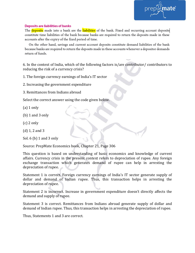

#### **Deposits are liabilities of banks**

The deposits made into a bank are the liabilities of the bank. Fixed and recurring account deposits constitute time liabilities of the bank because banks are required to return the deposits made in these accounts after the expiry of the fixed period of time.

On the other hand, savings and current account deposits constitute demand liabilities of the bank because banks are required to return the deposits made in these accounts whenever a depositor demands return of funds.

6. In the context of India, which of the following factors is/are contributor/ contributors to reducing the risk of a currency crisis?

1. The foreign currency earnings of India's IT sector

- 2. Increasing the government expenditure
- 3. Remittances from Indians abroad

Select the correct answer using the code given below.

- $(a)$  1 only
- (b) 1 and 3 only
- (c) 2 only
- (d) 1, 2 and 3
- Sol. 6 (b) 1 and 3 only

Source: PrepMate Economics book, Chapter 21, Page 306

This question is based on understanding of basic economics and knowledge of current affairs. Currency crisis in the present context refers to depreciation of rupee. Any foreign exchange transaction which generates demand of rupee can help in arresting the depreciation of rupee.

Statement 1 is correct. Foreign currency earnings of India's IT sector generate supply of dollar and demand of Indian rupee. Thus, this transaction helps in arresting the depreciation of rupee.

Statement 2 is incorrect. Increase in government expenditure doesn't directly affects the demand and supply of rupee.

Statement 3 is correct. Remittances from Indians abroad generate supply of dollar and demand of Indian rupee. Thus, this transaction helps in arresting the depreciation of rupee.

Thus, Statements 1 and 3 are correct.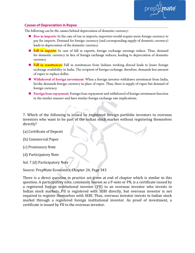

# **Causes of Depreciation in Rupee**

The following can be the causes behind depreciation of domestic currency:

- Rise in imports: In the case of rise in imports, importers would require more foreign currency to pay for imports. Demand for foreign currency (and corresponding supply of domestic currency) leads to depreciation of the domestic currency.
- **Example 1** Fall in exports: In case of fall in exports, foreign exchange earnings reduce. Thus, demand for domestic currency in lieu of foreign exchange reduces, leading to depreciation of domestic currency.
- Fall in remittances: Fall in remittances from Indians working abroad leads to lesser foreign exchange availability in India. The recipient of foreign exchange, therefore, demands less amount of rupee to replace dollar.
- Withdrawal of foreign investment: When a foreign investor withdraws investment from India, he/she demands foreign currency in place of rupee. Thus, there is supply of rupee but demand of foreign currency.
- **E** Foreign loan repayment: Foreign loan repayment and withdrawal of foreign investment function in the similar manner and have similar foreign exchange rate implications.

7. Which of the following is issued by registered foreign portfolio investors to overseas investors who want to be part of the Indian stock market without registering themselves directly?

- (a) Certificate of Deposit
- (b) Commercial Paper
- (c) Promissory Note
- (d) Participatory Note
- Sol. 7 (d) Participatory Note

Source: PrepMate Economics, Chapter 24, Page 343

There is a direct question in practice set given at end of chapter which is similar to this question. A participatory note, commonly known as a P-note or PN, is a certificate issued by a registered foreign institutional investor (FII) to an overseas investor who invests in Indian stock markets. FII is registered with SEBI directly, but overseas investor is not required to register themselves with SEBI. Thus, overseas investor invests in Indian stock market through a registered foreign institutional investor. As proof of investment, a certificate is issued by FII to the overseas investor.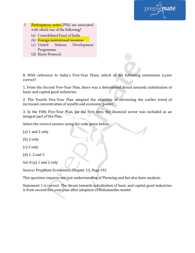

- 5. Participatory notes (PNs) are associated with which one of the following?
	- (a) Consolidated Fund of India
	- (b) Foreign institutional investors
	- (c) United Nations Development Programme
	- (d) Kyoto Protocol

8. With reference to India's Five-Year Plans, which of the following statements is/are correct?

1. From the Second Five-Year Plan, there was a determined thrust towards substitution of basic and capital good industries.

2. The Fourth Five-Year Plan adopted the objective of correcting the earlier trend of increased concentration of wealth and economic power.

3. In the Fifth Five-Year Plan, for the first time, the financial sector was included as an integral part of the Plan.

Select the correct answer using the code given below.

(a) 1 and 2 only

(b) 2 only

- (c) 3 only
- (d) 1, 2 and 3

Sol. 8 (a) 1 and 2 only

Source: PrepMate Economics, Chapter 13, Page 192

This question requires not just understanding of Planning and but also keen analysis.

Statement 1 is correct: The thrust towards substitution of basic and capital good industries is from second five year plan after adoption of Mahalanobis model.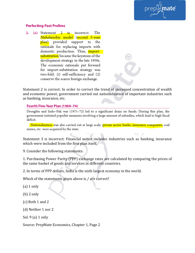

# **Perfecting Past Prelims**

2. (a) Statement  $2$  is incorrect. The Mahalanobis model (second 5-year plan) provided support to the rationale for replacing imports with domestic production. Thus, *import*substitution became the keystone of the development strategy in the late 1950s. The economic rationale put forward for import-substitution strategy was two-fold: (i) self-sufficiency and (2) conserve the scarce foreign exchange.

Statement 2 is correct: In order to correct the trend of increased concentration of wealth and economic power, government carried out nationalization of important industries such as banking, insurance, etc.

## Fourth Five-Year Plan (1969-74)

Droughts and Indo-Pak war (1971-72) led to a significant drain on funds. During this plan, the government initiated populist measures involving a large amount of subsidies, which lead to high fiscal deficit.

Nationalization was also carried out at large scale: private sector banks, insurance companies, coal mines, etc. were acquired by the state.

Statement 3 is incorrect: Financial sector includes industries such as banking, insurance which were included from the first plan itself.

9. Consider the following statements:

1. Purchasing Power Parity (PPP) exchange rates are calculated by comparing the prices of the same basket of goods and services in different countries.

2. In terms of PPP dollars, India is the sixth largest economy in the world.

Which of the statements given above is / are correct?

 $(a)$  1 only

(b) 2 only

(c) Both 1 and 2

(d) Neither 1 nor 2

Sol. 9 (a) 1 only

Source: PrepMate Economics, Chapter 1, Page 2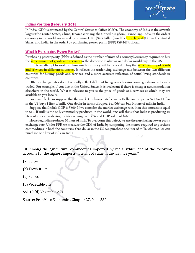#### **India's Position (February, 2018)**

In India, GDP is estimated by the Central Statistics Office (CSO). The economy of India is the seventh largest (the United States, China, Japan, Germany, the United Kingdom, France, and India, in the order) economy in the world, measured by nominal GDP (\$2.5 trillion) and the third largest (China, the United States, and India, in the order) by purchasing power parity (PPP) (\$9.447 trillion).

าateํ

### **What Is Purchasing Power Parity?**

Purchasing power parity (PPP) is defined as the number of units of a country's currency required to buy the same amount of goods and services in the domestic market as one dollar would buy in the US.

PPP is an attempt to work out how much currency will be needed to buy the same quantity of goods and services in different countries. It reflects the underlying exchange rate between the two different countries for buying goods and services, and a more accurate reflection of actual living standards in countries.

Often exchange rates do not actually reflect different living costs because some goods are not easily traded. For example, if you live in the United States, it is irrelevant if there is cheaper accommodation elsewhere in the world. What is relevant to you is the price of goods and services at which they are available to you locally.

For example, let us suppose that the market exchange rate between Dollar and Rupee is 66. One Dollar in the US buys 1 liter of milk. One dollar in terms of rupee, i.e., ₹66 can buy 3 liters of milk in India.

Suppose that India's GDP is  $\bar{x}$ 660. If we consider the market exchange rate, then this amount is equal to \$10. If milk is the only commodity produced in the world, one will think that India is producing 10 liters of milk considering India's exchange rate ₹66 and GDP value of ₹660.

However, India produces 30 liters of milk. To overcome this defect, we use the purchasing power parity exchange rate. Under PPP, we measure the GDP of India by comparing the money required to purchase commodities in both the countries. One dollar in the US can purchase one liter of milk, whereas `21 can purchase one liter of milk in India.

10. Among the agricultural commodities imported by India, which one of the following accounts for the highest imports in terms of value in the last five years?

(a) Spices

- (b) Fresh fruits
- (c) Pulses
- (d) Vegetable oils
- Sol. 10 (d) Vegetable oils

Source: PrepMate Economics, Chapter 27, Page 382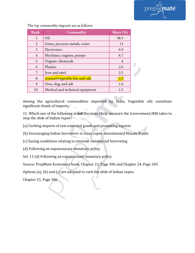

Rank Commodity Share (%) Oil  $\mathbf{1}$ 38.3  $\overline{2}$ Gems, precious metals, coins 13 3 Electronics 6.9  $\overline{4}$ Machines, engines, pumps 6.7 5 Organic chemicals  $\overline{4}$ 6 Plastics  $2.6$ 7 Iron and steel  $2.5\,$ Animal/vegetable fats and oils 8  $2.3$ 9 Ores, slag, and ash 1.6 Medical and technical equipment 10  $1.5$ 

The top commodity imports are as follows:

Among the agricultural commodities imported by India, Vegetable oils constitute significant chunk of imports.

11. Which one of the following is **not** the most likely measure the Government/RBI takes to stop the slide of Indian rupee?

(a) Curbing imports of non-essential goods and promoting exports

(b) Encouraging Indian borrowers to issue rupee denominated Masala Bonds

(c) Easing conditions relating to external commercial borrowing

(d) Following an expansionary monetary policy

Sol. 11 (d) Following an expansionary monetary policy

Source: PrepMate Economics book, Chapter 21, Page 306 and Chapter 24, Page 345

Options (a), (b) and (c) are adopted to curb the slide of Indian rupee.

Chapter 21, Page 306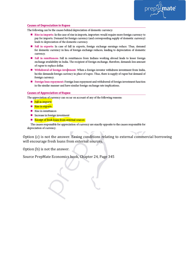

#### **Causes of Depredation in Rupee**

The following can be the causes behind depreciation of domestic currency:

- Rise in imports: In the case of rise in imports, importers would require more foreign currency to pay for imports. Demand for foreign currency (and corresponding supply of domestic currency) leads to depreciation of the domestic currency.
- Fall in exports: In case of fall in exports, foreign exchange earnings reduce. Thus, demand for domestic currency in lieu of foreign exchange reduces, leading to depreciation of domestic currency.
- Fall in remittances: Fall in remittances from Indians working abroad leads to lesser foreign exchange availability in India. The recipient of foreign exchange, therefore, demands less amount of rupee to replace dollar.
- Withdrawal of foreign investment: When a foreign investor withdraws investment from India, he/she demands foreign currency in place of rupee. Thus, there is supply of rupee but demand of foreign currency.
- Foreign loan repayment: Foreign loan repayment and withdrawal of foreign investment function in the similar manner and have similar foreign exchange rate implications.

#### **Causes of Appreciation of Rupee**

The appreciation of currency can occur on account of any of the following reasons:

- Fall in imports
- Rise in exports
- $\blacksquare$  Rise in remittances
- Increase in foreign investment
- Receipt of fresh loans from external sources

The causes responsible for appreciation of currency are exactly opposite to the causes responsible for depreciation of currency.

Option (c) is not the answer. Easing conditions relating to external commercial borrowing will encourage fresh loans from external sources.

Option (b) is not the answer.

Source PrepMate Economics book, Chapter 24, Page 345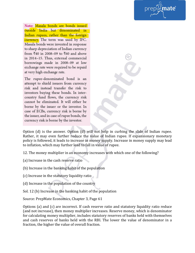nate®

Note: Masala bonds are bonds issued outside India but denominated in Indian rupees, rather than the foreign currency. The term was used by IFC. Masala bonds were invented in response to sharp depreciation of Indian currency from  $\overline{5}40$  in 2008–09 to  $\overline{5}60$  and above in 2014-15. Thus, external commercial borrowings made in 2008-09 at low exchange rate were required to be repaid at very high exchange rate.

The rupee-denominated bond is an attempt to shield issuers from currency risk and instead transfer the risk to investors buying these bonds. In intercountry fund flows, the currency risk cannot be eliminated. It will either be borne by the issuer or the investor. In case of ECBs, currency risk is borne by the issuer, and in case of rupee bonds, the currency risk is borne by the investor.

Option (d) is the answer. Option (d) will not help in curbing the slide of Indian rupee. Rather, it may even further reduce the value of Indian rupee. If expansionary monetary policy is followed, it leads to increase in money supply. Increase in money supply may lead to inflation, which may further lead to fall in value of rupee.

12. The money multiplier in an economy increases with which one of the following?

(a) Increase in the cash reserve ratio

(b) Increase in the banking habit of the population

(c) Increase in the statutory liquidity ratio

(d) Increase in the population of the country

Sol. 12 (b) Increase in the banking habit of the population

Source: PrepMate Economics, Chapter 3, Page 61

Options (a) and (c) are incorrect. If cash reserve ratio and statutory liquidity ratio reduce (and not increase), then money multiplier increases. Reserve money, which is denominator for calculating money multiplier, includes statutory reserves of banks held with themselves and cash reserves of banks held with the RBI. The lower the value of denominator in a fraction, the higher the value of overall fraction.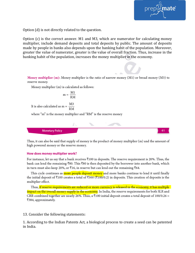

Option (d) is not directly related to the question.

Option (c) is the correct answer. M1 and M3, which are numerator for calculating money multiplier, include demand deposits and total deposits by public. The amount of deposits made by people in banks also depends upon the banking habit of the population. Moreover, greater the value of numerator, greater is the value of overall fraction. Thus, increase in the banking habit of the population, increases the money multiplier in the economy.

Money multiplier (m): Money multiplier is the ratio of narrow money  $(M1)$  or broad money  $(M3)$  to reserve money.

Money multiplier (m) is calculated as follows:

$$
m=\frac{M\mathbf{1}}{RM}
$$

It is also calculated as m =  $\frac{\text{M3}}{\text{RM}}$ 

where "m" is the money multiplier and "RM" is the reserve money



Thus, it can also be said that supply of money is the product of money multiplier (m) and the amount of high powered money or the reserve money.

#### How does money multiplier work?

For instance, let us say that a bank receives  $\bar{\tau}100$  in deposits. The reserve requirement is 20%. Thus, the bank can lend the remaining ₹80. This ₹80 is then deposited by the borrower into another bank, which in turn must also keep 20%, or  $\bar{x}$ 16, in reserve but can lend out the remaining  $\bar{x}$ 64.

This cycle continues as more people deposit money and more banks continue to lend it until finally the initial deposit of  $\bar{x}$ 100 creates a total of  $\bar{x}$ 500 ( $\bar{x}$ 100/0.2) in deposits. This creation of deposits is the multiplier effect.

Thus, <mark>if reserve requirements are reduced or more currency is released in the economy, it has multiple</mark> impact on the overall money supply in the economy. In India, the reserve requirements for both SLR and CRR combined together are nearly 26%. Thus, a ₹100 initial deposit creates a total deposit of 100/0.26 = ₹384, approximately.

## 13. Consider the following statements:

1. According to the Indian Patents Act, a biological process to create a seed can be patented in India.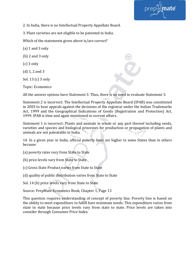

2. In India, there is no Intellectual Property Appellate Board.

3. Plant varieties are not eligible to be patented in India.

Which of the statements given above is/are correct?

(a) 1 and 3 only

(b) 2 and 3 only

(c) 3 only

(d) 1, 2 and 3

Sol. 13 (c) 3 only

Topic: Economics

All the answer options have Statement 3. Thus, there is no need to evaluate Statement 3.

Statement 2 is incorrect: The Intellectual Property Appellate Board (IPAB) was constituted in 2003 to hear appeals against the decisions of the registrar under the Indian Trademarks Act, 1999 and the Geographical Indications of Goods (Registration and Protection) Act, 1999. IPAB is time and again mentioned in current affairs.

Statement 1 is incorrect: Plants and animals in whole or any part thereof including seeds, varieties and species and biological processes for production or propagation of plants and animals are not patentable in India.

14. In a given year in India, official poverty lines are higher in some States than in others because

(a) poverty rates vary from State to State

(b) price levels vary from State to State

(c) Gross State Product varies from State to State

(d) quality of public distribution varies from State to State

Sol. 14 (b) price levels vary from State to State

Source: PrepMate Economics Book, Chapter 1, Page 13

This question requires understanding of concept of poverty line. Poverty line is based on the ability to meet expenditure to fulfill bare minimum needs. This expenditure varies from state to state because price levels vary from state to state. Price levels are taken into consider through Consumer Price Index.